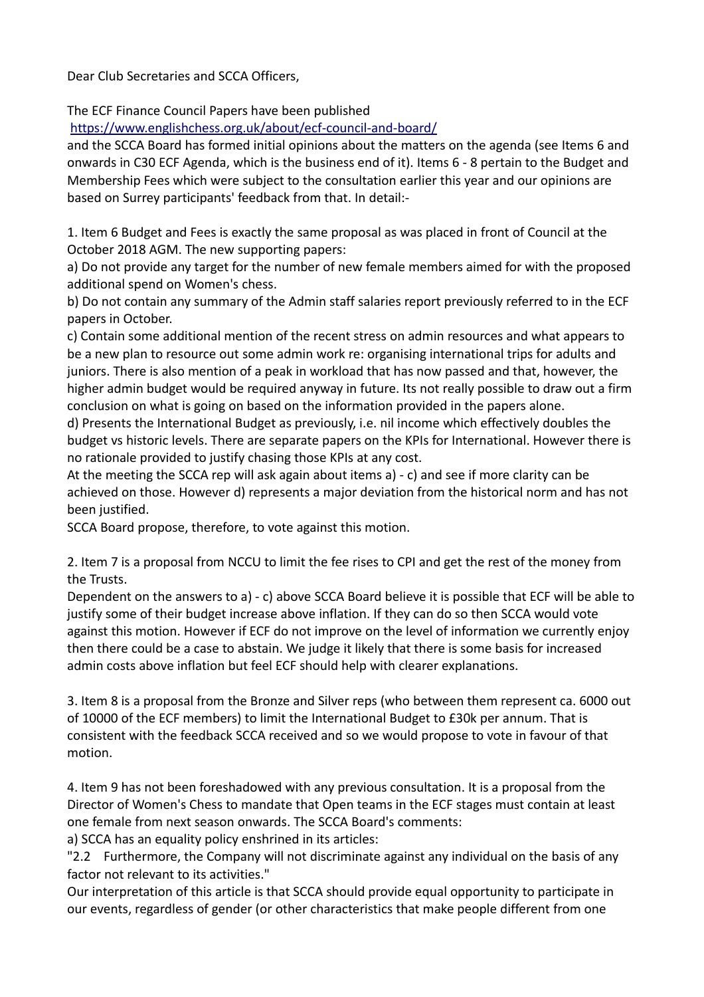Dear Club Secretaries and SCCA Officers,

The ECF Finance Council Papers have been published

<https://www.englishchess.org.uk/about/ecf-council-and-board/>

and the SCCA Board has formed initial opinions about the matters on the agenda (see Items 6 and onwards in C30 ECF Agenda, which is the business end of it). Items 6 - 8 pertain to the Budget and Membership Fees which were subject to the consultation earlier this year and our opinions are based on Surrey participants' feedback from that. In detail:-

1. Item 6 Budget and Fees is exactly the same proposal as was placed in front of Council at the October 2018 AGM. The new supporting papers:

a) Do not provide any target for the number of new female members aimed for with the proposed additional spend on Women's chess.

b) Do not contain any summary of the Admin staff salaries report previously referred to in the ECF papers in October.

c) Contain some additional mention of the recent stress on admin resources and what appears to be a new plan to resource out some admin work re: organising international trips for adults and juniors. There is also mention of a peak in workload that has now passed and that, however, the higher admin budget would be required anyway in future. Its not really possible to draw out a firm conclusion on what is going on based on the information provided in the papers alone.

d) Presents the International Budget as previously, i.e. nil income which effectively doubles the budget vs historic levels. There are separate papers on the KPIs for International. However there is no rationale provided to justify chasing those KPIs at any cost.

At the meeting the SCCA rep will ask again about items a) - c) and see if more clarity can be achieved on those. However d) represents a major deviation from the historical norm and has not been justified.

SCCA Board propose, therefore, to vote against this motion.

2. Item 7 is a proposal from NCCU to limit the fee rises to CPI and get the rest of the money from the Trusts.

Dependent on the answers to a) - c) above SCCA Board believe it is possible that ECF will be able to justify some of their budget increase above inflation. If they can do so then SCCA would vote against this motion. However if ECF do not improve on the level of information we currently enjoy then there could be a case to abstain. We judge it likely that there is some basis for increased admin costs above inflation but feel ECF should help with clearer explanations.

3. Item 8 is a proposal from the Bronze and Silver reps (who between them represent ca. 6000 out of 10000 of the ECF members) to limit the International Budget to £30k per annum. That is consistent with the feedback SCCA received and so we would propose to vote in favour of that motion.

4. Item 9 has not been foreshadowed with any previous consultation. It is a proposal from the Director of Women's Chess to mandate that Open teams in the ECF stages must contain at least one female from next season onwards. The SCCA Board's comments:

a) SCCA has an equality policy enshrined in its articles:

"2.2 Furthermore, the Company will not discriminate against any individual on the basis of any factor not relevant to its activities."

Our interpretation of this article is that SCCA should provide equal opportunity to participate in our events, regardless of gender (or other characteristics that make people different from one